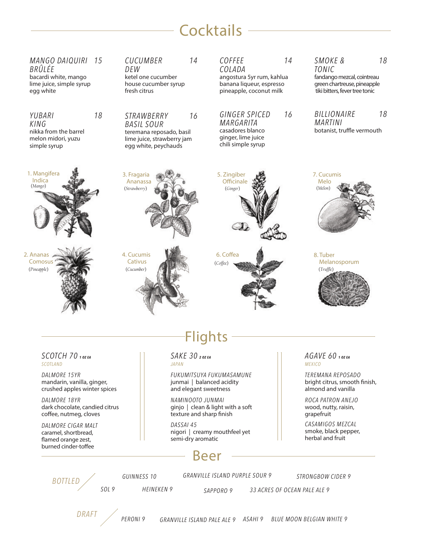## **Cocktails**

| MANGO DAIQUIRI 15<br>BRÛLÉE<br>bacardi white, mango<br>lime juice, simple syrup<br>egg white |    | CUCUMBER<br>DEW<br>ketel one cucumber<br>house cucumber syrup<br>fresh citrus                                            | 14 | COFFEE<br>COLADA<br>angostura<br>banana liq<br>pineapple,     |
|----------------------------------------------------------------------------------------------|----|--------------------------------------------------------------------------------------------------------------------------|----|---------------------------------------------------------------|
| YUBARI<br>KING<br>nikka from the barrel<br>melon midori, yuzu<br>simple syrup                | 18 | <b>STRAWBERRY</b><br><b>BASIL SOUR</b><br>teremana reposado, basil<br>lime juice, strawberry jam<br>egg white, peychauds | 16 | GINGER.<br>MARGAR<br>casadores<br>ginger, lim<br>chili simple |
| 1. Mangifera<br>Indica<br>(Mango)                                                            |    | 3. Fragaria<br>Ananassa<br>(Strawberry)                                                                                  |    | 5. Zingiber<br>Officinale<br>(Ginger)                         |
| 2. Ananas<br>Comosus<br>(Pineapple)                                                          |    | 4. Cucumis<br>Cativus<br>(Cucumber)                                                                                      |    | 6. Coffea<br>(Coffee)                                         |

#### *COFFEE 14*  $\overline{A}$ ra 5yr rum, kahlua iqueur, espresso le, coconut milk

#### *GINGER SPICED 16*

*MARGARITA* es blanco ime juice ple syrup *SMOKE & 18 TONIC* fandango mezcal, cointreau green chartreuse, pineapple tiki bitters, fever tree tonic

#### *BILLIONAIRE 18 MARTINI* botanist, truffle vermouth



(*Truffle*) 8. Tuber Melanosporum

*SCOTCH 70 1 OZ EA SCOTLAND*

*DALMORE 15YR* mandarin, vanilla, ginger, crushed apples winter spices

*DALMORE 18YR* dark chocolate, candied citrus coffee, nutmeg, cloves

*DALMORE CIGAR MALT* caramel, shortbread, flamed orange zest, burned cinder-toffee

# Flights

*SAKE 30 2 OZ EA JAPAN*

*FUKUMITSUYA FUKUMASAMUNE* junmai | balanced acidity and elegant sweetness

*NAMINOOTO JUNMAI* ginjo | clean & light with a soft texture and sharp finish

*DASSAI 45* nigori | creamy mouthfeel yet semi-dry aromatic

### *AGAVE 60 1 OZ EA MEXICO*

*TEREMANA REPOSADO* bright citrus, smooth finish, almond and vanilla

*ROCA PATRON ANEJO* wood, nutty, raisin, grapefruit

*CASAMIGOS MEZCAL* smoke, black pepper, herbal and fruit

### Beer

*BOTTLED*

*PERONI 9*

*GUINNESS 10 GRANVILLE ISLAND PURPLE SOUR 9*

*STRONGBOW CIDER 9*

*HEINEKEN 9 SOL 9 SAPPORO 9*

*33 ACRES OF OCEAN PALE ALE 9*

*ASAHI 9 GRANVILLE ISLAND PALE ALE 9 BLUE MOON BELGIAN WHITE 9 DRAFT*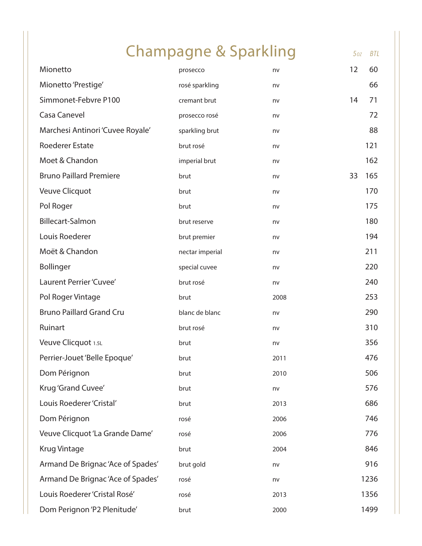| <b>Champagne &amp; Sparkling</b>  |                 |      |    |      |
|-----------------------------------|-----------------|------|----|------|
| Mionetto                          | prosecco        | nv   | 12 | 60   |
| Mionetto 'Prestige'               | rosé sparkling  | nv   |    | 66   |
| Simmonet-Febvre P100              | cremant brut    | nv   | 14 | 71   |
| Casa Canevel                      | prosecco rosé   | nv   |    | 72   |
| Marchesi Antinori 'Cuvee Royale'  | sparkling brut  | nv   |    | 88   |
| <b>Roederer Estate</b>            | brut rosé       | nv   |    | 121  |
| Moet & Chandon                    | imperial brut   | nv   |    | 162  |
| <b>Bruno Paillard Premiere</b>    | brut            | nv   | 33 | 165  |
| Veuve Clicquot                    | brut            | nv   |    | 170  |
| Pol Roger                         | brut            | nv   |    | 175  |
| <b>Billecart-Salmon</b>           | brut reserve    | nv   |    | 180  |
| Louis Roederer                    | brut premier    | nv   |    | 194  |
| Moët & Chandon                    | nectar imperial | nv   |    | 211  |
| <b>Bollinger</b>                  | special cuvee   | nv   |    | 220  |
| Laurent Perrier 'Cuvee'           | brut rosé       | nv   |    | 240  |
| Pol Roger Vintage                 | brut            | 2008 |    | 253  |
| <b>Bruno Paillard Grand Cru</b>   | blanc de blanc  | nv   |    | 290  |
| Ruinart                           | brut rosé       | nv   |    | 310  |
| Veuve Clicquot 1.5L               | brut            | nv   |    | 356  |
| Perrier-Jouet 'Belle Epoque'      | brut            | 2011 |    | 476  |
| Dom Pérignon                      | brut            | 2010 |    | 506  |
| Krug 'Grand Cuvee'                | brut            | nv   |    | 576  |
| Louis Roederer 'Cristal'          | brut            | 2013 |    | 686  |
| Dom Pérignon                      | rosé            | 2006 |    | 746  |
| Veuve Clicquot 'La Grande Dame'   | rosé            | 2006 |    | 776  |
| <b>Krug Vintage</b>               | brut            | 2004 |    | 846  |
| Armand De Brignac 'Ace of Spades' | brut gold       | nv   |    | 916  |
| Armand De Brignac 'Ace of Spades' | rosé            | nv   |    | 1236 |
| Louis Roederer 'Cristal Rosé'     | rosé            | 2013 |    | 1356 |
| Dom Perignon 'P2 Plenitude'       | brut            | 2000 |    | 1499 |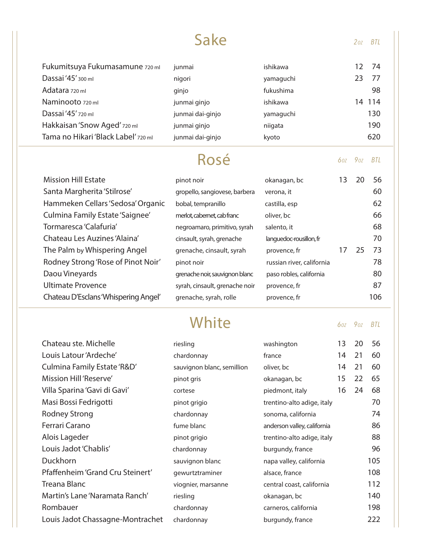### Sake

*2OZ BTL*

| Fukumitsuya Fukumasamune 720 ml     | junmai           | ishikawa  |    | -74 |
|-------------------------------------|------------------|-----------|----|-----|
| Dassai '45' 300 ml                  | nigori           | yamaguchi | 23 | 77  |
| Adatara 720 ml                      | ginjo            | fukushima |    | 98  |
| Naminooto 720 ml                    | junmai ginjo     | ishikawa  | 14 | 114 |
| Dassai '45' 720 ml                  | junmai dai-ginjo | yamaguchi |    | 130 |
| Hakkaisan 'Snow Aged' 720 ml        | junmai ginjo     | niigata   |    | 190 |
| Tama no Hikari 'Black Label' 720 ml | junmai dai-ginjo | kyoto     |    | 620 |
|                                     |                  |           |    |     |

### Rosé *6OZ 9OZ BTL*

| <b>Mission Hill Estate</b>           | pinot noir                     | okanagan, bc              | 13 | 20 | 56  |
|--------------------------------------|--------------------------------|---------------------------|----|----|-----|
| Santa Margherita 'Stilrose'          | gropello, sangiovese, barbera  | verona, it                |    |    | 60  |
| Hammeken Cellars 'Sedosa' Organic    | bobal, tempranillo             | castilla, esp             |    |    | 62  |
| Culmina Family Estate 'Saignee'      | merlot, cabernet, cab franc    | oliver, bc                |    |    | 66  |
| Tormaresca 'Calafuria'               | negroamaro, primitivo, syrah   | salento, it               |    |    | 68  |
| Chateau Les Auzines 'Alaina'         | cinsault, syrah, grenache      | languedoc-rousillon, fr   |    |    | 70  |
| The Palm by Whispering Angel         | grenache, cinsault, syrah      | provence, fr              | 17 | 25 | -73 |
| Rodney Strong 'Rose of Pinot Noir'   | pinot noir                     | russian river, california |    |    | 78  |
| Daou Vineyards                       | grenache noir, sauvignon blanc | paso robles, california   |    |    | 80  |
| <b>Ultimate Provence</b>             | syrah, cinsault, grenache noir | provence, fr              |    |    | 87  |
| Chateau D'Esclans 'Whispering Angel' | grenache, syrah, rolle         | provence, fr              |    |    | 106 |
|                                      |                                |                           |    |    |     |

## White  $\frac{60Z}{90Z}$  **BTL**

| Chateau ste. Michelle            | riesling                   | washington                  | 13 | 20 | 56  |
|----------------------------------|----------------------------|-----------------------------|----|----|-----|
| Louis Latour 'Ardeche'           | chardonnay                 | france                      | 14 | 21 | 60  |
| Culmina Family Estate 'R&D'      | sauvignon blanc, semillion | oliver, bc                  | 14 | 21 | 60  |
| Mission Hill 'Reserve'           | pinot gris                 | okanagan, bc                | 15 | 22 | 65  |
| Villa Sparina 'Gavi di Gavi'     | cortese                    | piedmont, italy             | 16 | 24 | 68  |
| Masi Bossi Fedrigotti            | pinot grigio               | trentino-alto adige, italy  |    |    | 70  |
| <b>Rodney Strong</b>             | chardonnay                 | sonoma, california          |    |    | 74  |
| Ferrari Carano                   | fume blanc                 | anderson valley, california |    |    | 86  |
| Alois Lageder                    | pinot grigio               | trentino-alto adige, italy  |    |    | 88  |
| Louis Jadot 'Chablis'            | chardonnay                 | burgundy, france            |    |    | 96  |
| Duckhorn                         | sauvignon blanc            | napa valley, california     |    |    | 105 |
| Pfaffenheim 'Grand Cru Steinert' | gewurtztraminer            | alsace, france              |    |    | 108 |
| Treana Blanc                     | viognier, marsanne         | central coast, california   |    |    | 112 |
| Martin's Lane 'Naramata Ranch'   | riesling                   | okanagan, bc                |    |    | 140 |
| Rombauer                         | chardonnay                 | carneros, california        |    |    | 198 |
| Louis Jadot Chassagne-Montrachet | chardonnay                 | burgundy, france            |    |    | 222 |
|                                  |                            |                             |    |    |     |